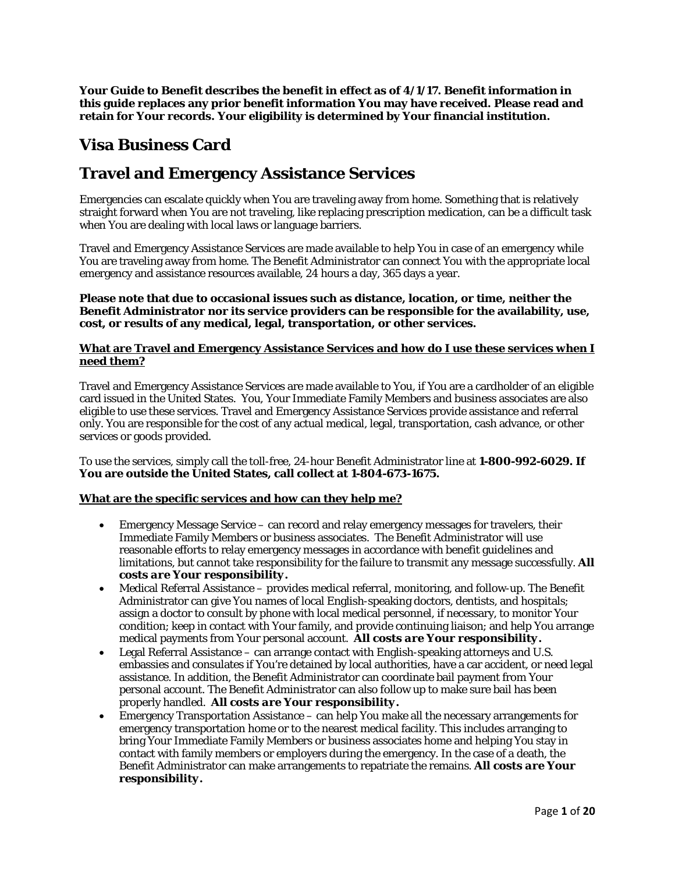**Your Guide to Benefit describes the benefit in effect as of 4/1/17. Benefit information in this guide replaces any prior benefit information You may have received. Please read and retain for Your records. Your eligibility is determined by Your financial institution.** 

## **Visa Business Card**

# **Travel and Emergency Assistance Services**

Emergencies can escalate quickly when You are traveling away from home. Something that is relatively straight forward when You are not traveling, like replacing prescription medication, can be a difficult task when You are dealing with local laws or language barriers.

Travel and Emergency Assistance Services are made available to help You in case of an emergency while You are traveling away from home. The Benefit Administrator can connect You with the appropriate local emergency and assistance resources available, 24 hours a day, 365 days a year.

#### **Please note that due to occasional issues such as distance, location, or time, neither the Benefit Administrator nor its service providers can be responsible for the availability, use, cost, or results of any medical, legal, transportation, or other services.**

## **What are Travel and Emergency Assistance Services and how do I use these services when I need them?**

Travel and Emergency Assistance Services are made available to You, if You are a cardholder of an eligible card issued in the United States. You, Your Immediate Family Members and business associates are also eligible to use these services. Travel and Emergency Assistance Services provide assistance and referral only. You are responsible for the cost of any actual medical, legal, transportation, cash advance, or other services or goods provided.

To use the services, simply call the toll-free, 24-hour Benefit Administrator line at **1-800-992-6029. If You are outside the United States, call collect at 1-804-673-1675.** 

## **What are the specific services and how can they help me?**

- Emergency Message Service can record and relay emergency messages for travelers, their Immediate Family Members or business associates. The Benefit Administrator will use reasonable efforts to relay emergency messages in accordance with benefit guidelines and limitations, but cannot take responsibility for the failure to transmit any message successfully. *All costs are Your responsibility.*
- Medical Referral Assistance provides medical referral, monitoring, and follow-up. The Benefit Administrator can give You names of local English-speaking doctors, dentists, and hospitals; assign a doctor to consult by phone with local medical personnel, if necessary, to monitor Your condition; keep in contact with Your family, and provide continuing liaison; and help You arrange medical payments from Your personal account. *All costs are Your responsibility.*
- Legal Referral Assistance can arrange contact with English-speaking attorneys and U.S. embassies and consulates if You're detained by local authorities, have a car accident, or need legal assistance. In addition, the Benefit Administrator can coordinate bail payment from Your personal account. The Benefit Administrator can also follow up to make sure bail has been properly handled. *All costs are Your responsibility.*
- Emergency Transportation Assistance can help You make all the necessary arrangements for emergency transportation home or to the nearest medical facility. This includes arranging to bring Your Immediate Family Members or business associates home and helping You stay in contact with family members or employers during the emergency. In the case of a death, the Benefit Administrator can make arrangements to repatriate the remains. *All costs are Your responsibility.*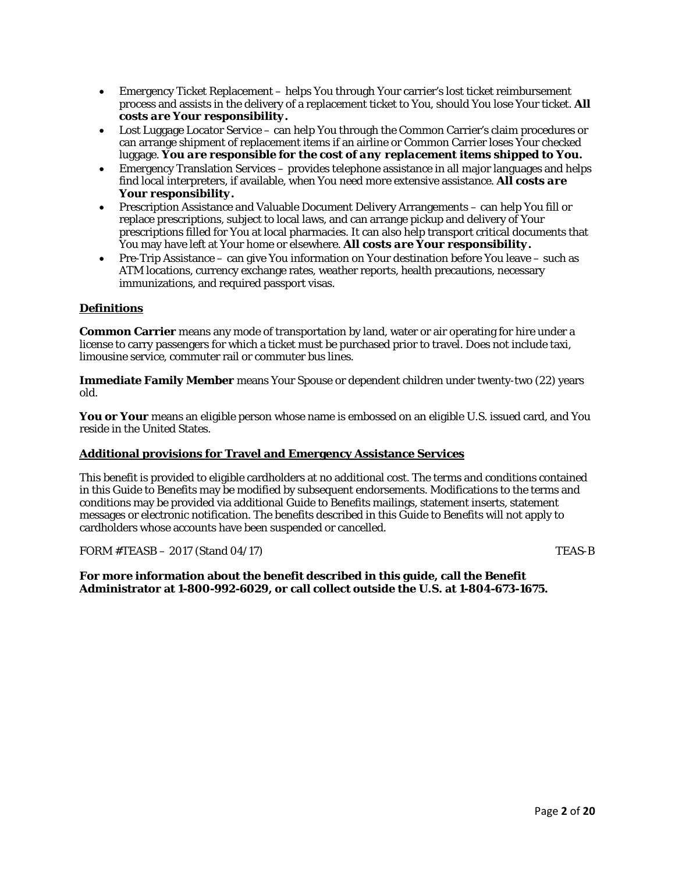- Emergency Ticket Replacement helps You through Your carrier's lost ticket reimbursement process and assists in the delivery of a replacement ticket to You, should You lose Your ticket. *All costs are Your responsibility.*
- Lost Luggage Locator Service can help You through the Common Carrier's claim procedures or can arrange shipment of replacement items if an airline or Common Carrier loses Your checked luggage. *You are responsible for the cost of any replacement items shipped to You.*
- Emergency Translation Services provides telephone assistance in all major languages and helps find local interpreters, if available, when You need more extensive assistance. *All costs are Your responsibility.*
- Prescription Assistance and Valuable Document Delivery Arrangements can help You fill or replace prescriptions, subject to local laws, and can arrange pickup and delivery of Your prescriptions filled for You at local pharmacies. It can also help transport critical documents that You may have left at Your home or elsewhere. *All costs are Your responsibility.*
- Pre-Trip Assistance can give You information on Your destination before You leave such as ATM locations, currency exchange rates, weather reports, health precautions, necessary immunizations, and required passport visas.

## **Definitions**

**Common Carrier** means any mode of transportation by land, water or air operating for hire under a license to carry passengers for which a ticket must be purchased prior to travel. Does not include taxi, limousine service, commuter rail or commuter bus lines.

**Immediate Family Member** means Your Spouse or dependent children under twenty-two (22) years old.

**You or Your** means an eligible person whose name is embossed on an eligible U.S. issued card, and You reside in the United States.

## **Additional provisions for Travel and Emergency Assistance Services**

This benefit is provided to eligible cardholders at no additional cost. The terms and conditions contained in this Guide to Benefits may be modified by subsequent endorsements. Modifications to the terms and conditions may be provided via additional Guide to Benefits mailings, statement inserts, statement messages or electronic notification. The benefits described in this Guide to Benefits will not apply to cardholders whose accounts have been suspended or cancelled.

FORM  $\#TEASB - 2017$  (Stand 04/17) TEAS-B

**For more information about the benefit described in this guide, call the Benefit Administrator at 1-800-992-6029, or call collect outside the U.S. at 1-804-673-1675.**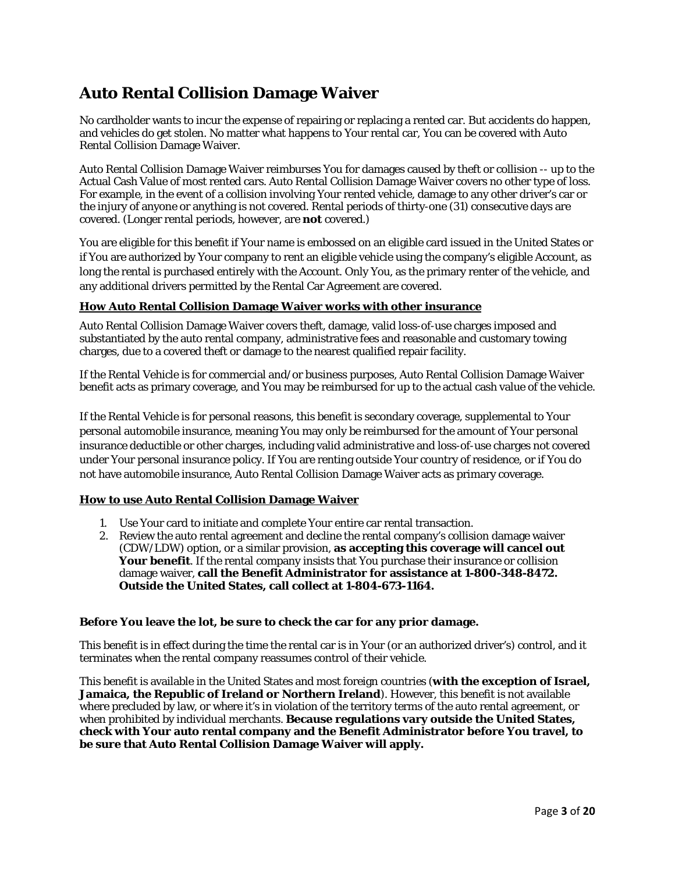# **Auto Rental Collision Damage Waiver**

No cardholder wants to incur the expense of repairing or replacing a rented car. But accidents do happen, and vehicles do get stolen. No matter what happens to Your rental car, You can be covered with Auto Rental Collision Damage Waiver.

Auto Rental Collision Damage Waiver reimburses You for damages caused by theft or collision -- up to the Actual Cash Value of most rented cars. Auto Rental Collision Damage Waiver covers no other type of loss. For example, in the event of a collision involving Your rented vehicle, damage to any other driver's car or the injury of anyone or anything is not covered. Rental periods of thirty-one (31) consecutive days are covered. (Longer rental periods, however, are *not* covered.)

You are eligible for this benefit if Your name is embossed on an eligible card issued in the United States or if You are authorized by Your company to rent an eligible vehicle using the company's eligible Account, as long the rental is purchased entirely with the Account. Only You, as the primary renter of the vehicle, and any additional drivers permitted by the Rental Car Agreement are covered.

## **How Auto Rental Collision Damage Waiver works with other insurance**

Auto Rental Collision Damage Waiver covers theft, damage, valid loss-of-use charges imposed and substantiated by the auto rental company, administrative fees and reasonable and customary towing charges, due to a covered theft or damage to the nearest qualified repair facility.

If the Rental Vehicle is for commercial and/or business purposes, Auto Rental Collision Damage Waiver benefit acts as primary coverage, and You may be reimbursed for up to the actual cash value of the vehicle.

If the Rental Vehicle is for personal reasons, this benefit is secondary coverage, supplemental to Your personal automobile insurance, meaning You may only be reimbursed for the amount of Your personal insurance deductible or other charges, including valid administrative and loss-of-use charges not covered under Your personal insurance policy. If You are renting outside Your country of residence, or if You do not have automobile insurance, Auto Rental Collision Damage Waiver acts as primary coverage.

## **How to use Auto Rental Collision Damage Waiver**

- 1. Use Your card to initiate and complete Your entire car rental transaction.
- 2. Review the auto rental agreement and decline the rental company's collision damage waiver (CDW/LDW) option, or a similar provision, **as accepting this coverage will cancel out Your benefit**. If the rental company insists that You purchase their insurance or collision damage waiver, **call the Benefit Administrator for assistance at 1-800-348-8472. Outside the United States, call collect at 1-804-673-1164.**

## **Before You leave the lot, be sure to check the car for any prior damage.**

This benefit is in effect during the time the rental car is in Your (or an authorized driver's) control, and it terminates when the rental company reassumes control of their vehicle.

This benefit is available in the United States and most foreign countries (**with the exception of Israel, Jamaica, the Republic of Ireland or Northern Ireland**). However, this benefit is not available where precluded by law, or where it's in violation of the territory terms of the auto rental agreement, or when prohibited by individual merchants. **Because regulations vary outside the United States, check with Your auto rental company and the Benefit Administrator before You travel, to be sure that Auto Rental Collision Damage Waiver will apply.**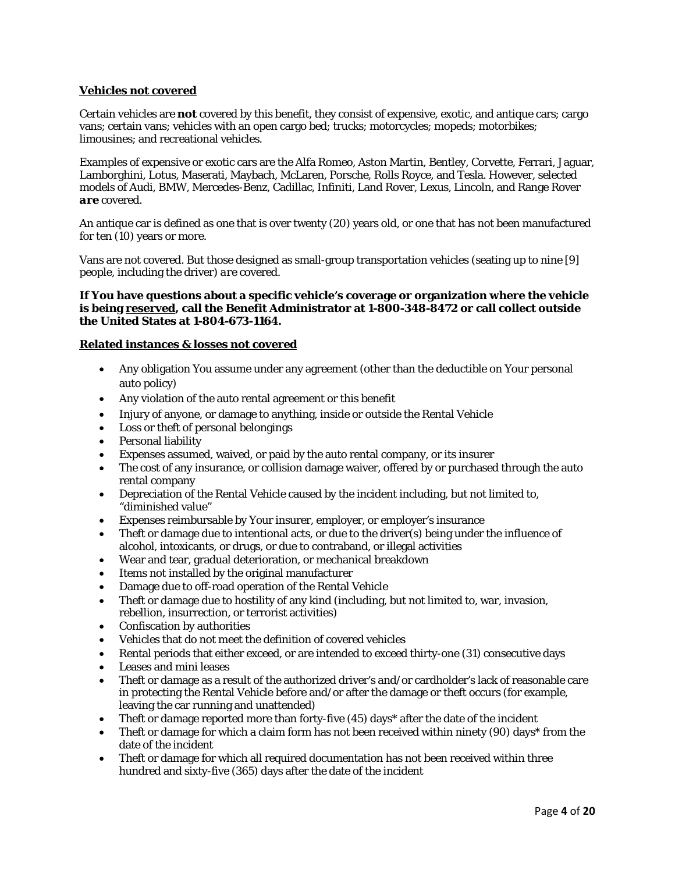## **Vehicles** *not* **covered**

Certain vehicles are *not* covered by this benefit, they consist of expensive, exotic, and antique cars; cargo vans; certain vans; vehicles with an open cargo bed; trucks; motorcycles; mopeds; motorbikes; limousines; and recreational vehicles.

Examples of expensive or exotic cars are the Alfa Romeo, Aston Martin, Bentley, Corvette, Ferrari, Jaguar, Lamborghini, Lotus, Maserati, Maybach, McLaren, Porsche, Rolls Royce, and Tesla. However, selected models of Audi, BMW, Mercedes-Benz, Cadillac, Infiniti, Land Rover, Lexus, Lincoln, and Range Rover *are* covered.

An antique car is defined as one that is over twenty (20) years old, or one that has not been manufactured for ten (10) years or more.

Vans are not covered. But those designed as small-group transportation vehicles (seating up to nine [9] people, including the driver) *are* covered.

#### **If You have questions about a specific vehicle's coverage or organization where the vehicle is being reserved, call the Benefit Administrator at 1-800-348-8472 or call collect outside the United States at 1-804-673-1164.**

#### **Related instances & losses** *not* **covered**

- Any obligation You assume under any agreement (other than the deductible on Your personal auto policy)
- Any violation of the auto rental agreement or this benefit
- Injury of anyone, or damage to anything, inside or outside the Rental Vehicle
- Loss or theft of personal belongings
- Personal liability
- Expenses assumed, waived, or paid by the auto rental company, or its insurer
- The cost of any insurance, or collision damage waiver, offered by or purchased through the auto rental company
- Depreciation of the Rental Vehicle caused by the incident including, but not limited to, "diminished value"
- Expenses reimbursable by Your insurer, employer, or employer's insurance
- Theft or damage due to intentional acts, or due to the driver(s) being under the influence of alcohol, intoxicants, or drugs, or due to contraband, or illegal activities
- Wear and tear, gradual deterioration, or mechanical breakdown
- Items not installed by the original manufacturer
- Damage due to off-road operation of the Rental Vehicle
- Theft or damage due to hostility of any kind (including, but not limited to, war, invasion, rebellion, insurrection, or terrorist activities)
- Confiscation by authorities
- Vehicles that do not meet the definition of covered vehicles
- Rental periods that either exceed, or are intended to exceed thirty-one (31) consecutive days
- Leases and mini leases
- Theft or damage as a result of the authorized driver's and/or cardholder's lack of reasonable care in protecting the Rental Vehicle before and/or after the damage or theft occurs (for example, leaving the car running and unattended)
- Theft or damage reported more than forty-five (45) days\* after the date of the incident
- Theft or damage for which a claim form has not been received within ninety (90) days\* from the date of the incident
- Theft or damage for which all required documentation has not been received within three hundred and sixty-five (365) days after the date of the incident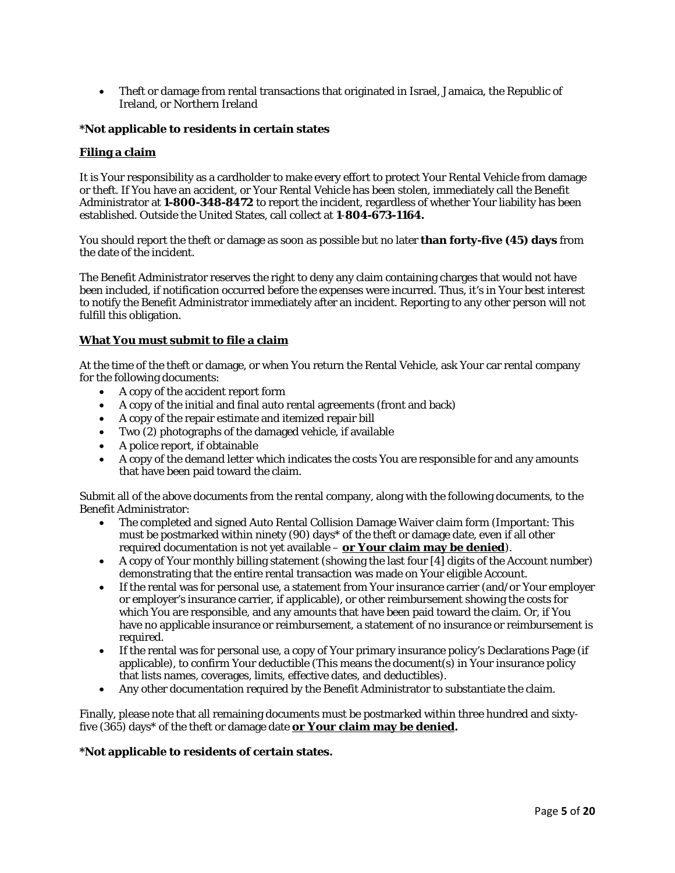• Theft or damage from rental transactions that originated in Israel, Jamaica, the Republic of Ireland, or Northern Ireland

#### **\*Not applicable to residents in certain states**

#### **Filing a claim**

It is Your responsibility as a cardholder to make every effort to protect Your Rental Vehicle from damage or theft. If You have an accident, or Your Rental Vehicle has been stolen, immediately call the Benefit Administrator at **1-800-348-8472** to report the incident, regardless of whether Your liability has been established. Outside the United States, call collect at **1**-**804-673-1164.**

You should report the theft or damage as soon as possible but no later **than forty-five (45) days** from the date of the incident.

The Benefit Administrator reserves the right to deny any claim containing charges that would not have been included, if notification occurred before the expenses were incurred. Thus, it's in Your best interest to notify the Benefit Administrator immediately after an incident. Reporting to any other person will not fulfill this obligation.

#### **What You must submit to file a claim**

At the time of the theft or damage, or when You return the Rental Vehicle, ask Your car rental company for the following documents:

- A copy of the accident report form
- A copy of the initial and final auto rental agreements (front and back)
- A copy of the repair estimate and itemized repair bill
- Two  $(2)$  photographs of the damaged vehicle, if available
- A police report, if obtainable
- A copy of the demand letter which indicates the costs You are responsible for and any amounts that have been paid toward the claim.

Submit all of the above documents from the rental company, along with the following documents, to the Benefit Administrator:

- The completed and signed Auto Rental Collision Damage Waiver claim form (Important: This must be postmarked within ninety (90) days\* of the theft or damage date, even if all other required documentation is not yet available – **or Your claim may be denied**).
- A copy of Your monthly billing statement (showing the last four [4] digits of the Account number) demonstrating that the entire rental transaction was made on Your eligible Account.
- If the rental was for personal use, a statement from Your insurance carrier (and/or Your employer or employer's insurance carrier, if applicable), or other reimbursement showing the costs for which You are responsible, and any amounts that have been paid toward the claim. Or, if You have no applicable insurance or reimbursement, a statement of no insurance or reimbursement is required.
- If the rental was for personal use, a copy of Your primary insurance policy's Declarations Page (if applicable), to confirm Your deductible (This means the document(s) in Your insurance policy that lists names, coverages, limits, effective dates, and deductibles).
- Any other documentation required by the Benefit Administrator to substantiate the claim.

Finally, please note that all remaining documents must be postmarked within three hundred and sixtyfive (365) days\* of the theft or damage date **or Your claim may be denied.**

#### **\*Not applicable to residents of certain states.**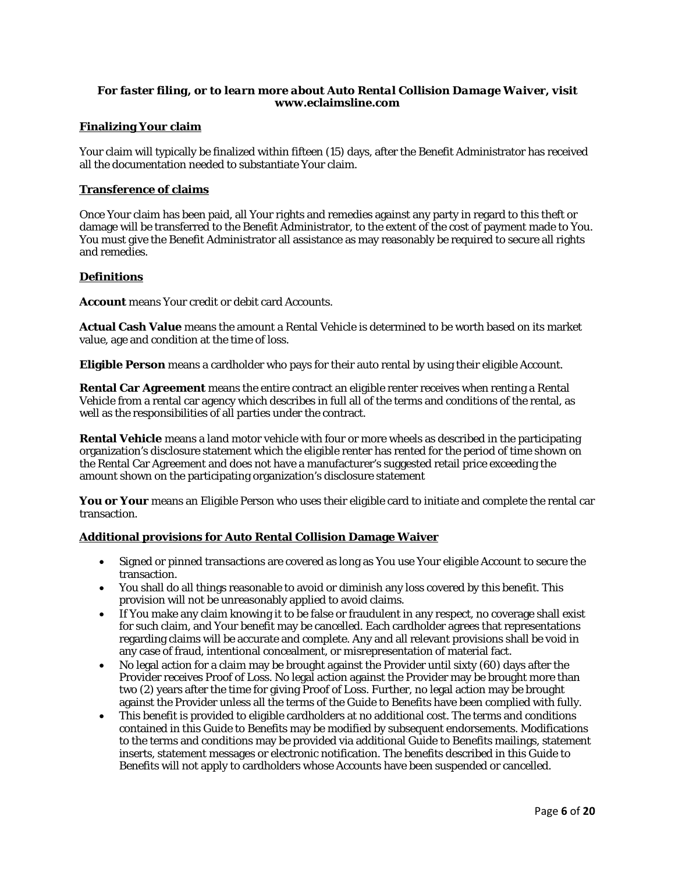## *For faster filing, or to learn more about Auto Rental Collision Damage Waiver, visit*  **www.eclaimsline.com**

#### **Finalizing Your claim**

Your claim will typically be finalized within fifteen (15) days, after the Benefit Administrator has received all the documentation needed to substantiate Your claim.

#### **Transference of claims**

Once Your claim has been paid, all Your rights and remedies against any party in regard to this theft or damage will be transferred to the Benefit Administrator, to the extent of the cost of payment made to You. You must give the Benefit Administrator all assistance as may reasonably be required to secure all rights and remedies.

#### **Definitions**

**Account** means Your credit or debit card Accounts.

**Actual Cash Value** means the amount a Rental Vehicle is determined to be worth based on its market value, age and condition at the time of loss.

**Eligible Person** means a cardholder who pays for their auto rental by using their eligible Account.

**Rental Car Agreement** means the entire contract an eligible renter receives when renting a Rental Vehicle from a rental car agency which describes in full all of the terms and conditions of the rental, as well as the responsibilities of all parties under the contract.

**Rental Vehicle** means a land motor vehicle with four or more wheels as described in the participating organization's disclosure statement which the eligible renter has rented for the period of time shown on the Rental Car Agreement and does not have a manufacturer's suggested retail price exceeding the amount shown on the participating organization's disclosure statement

**You or Your** means an Eligible Person who uses their eligible card to initiate and complete the rental car transaction.

#### **Additional provisions for Auto Rental Collision Damage Waiver**

- Signed or pinned transactions are covered as long as You use Your eligible Account to secure the transaction.
- You shall do all things reasonable to avoid or diminish any loss covered by this benefit. This provision will not be unreasonably applied to avoid claims.
- If You make any claim knowing it to be false or fraudulent in any respect, no coverage shall exist for such claim, and Your benefit may be cancelled. Each cardholder agrees that representations regarding claims will be accurate and complete. Any and all relevant provisions shall be void in any case of fraud, intentional concealment, or misrepresentation of material fact.
- No legal action for a claim may be brought against the Provider until sixty (60) days after the Provider receives Proof of Loss. No legal action against the Provider may be brought more than two (2) years after the time for giving Proof of Loss. Further, no legal action may be brought against the Provider unless all the terms of the Guide to Benefits have been complied with fully.
- This benefit is provided to eligible cardholders at no additional cost. The terms and conditions contained in this Guide to Benefits may be modified by subsequent endorsements. Modifications to the terms and conditions may be provided via additional Guide to Benefits mailings, statement inserts, statement messages or electronic notification. The benefits described in this Guide to Benefits will not apply to cardholders whose Accounts have been suspended or cancelled.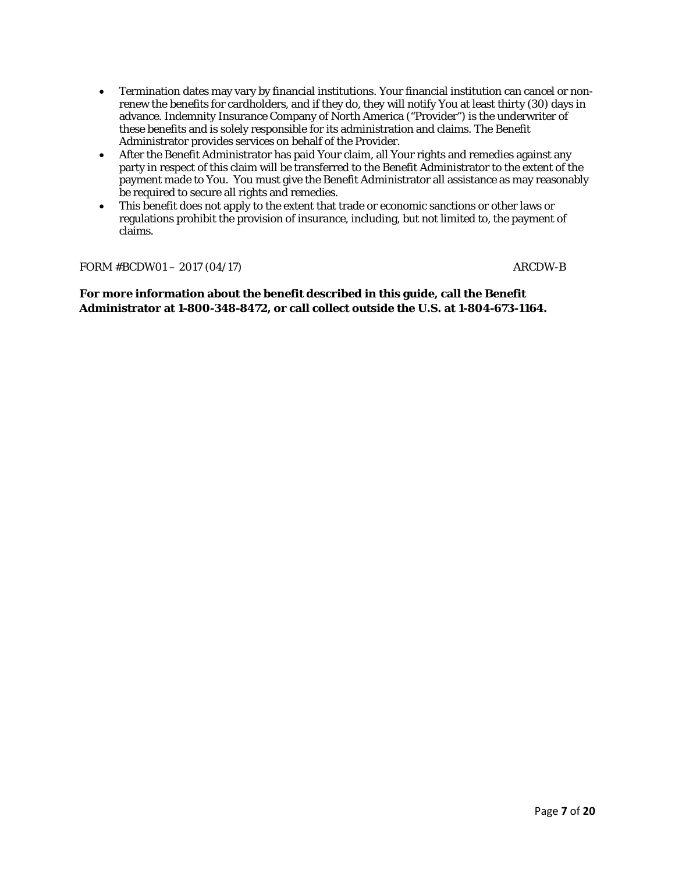- Termination dates may vary by financial institutions. Your financial institution can cancel or nonrenew the benefits for cardholders, and if they do, they will notify You at least thirty (30) days in advance. Indemnity Insurance Company of North America ("Provider") is the underwriter of these benefits and is solely responsible for its administration and claims. The Benefit Administrator provides services on behalf of the Provider.
- After the Benefit Administrator has paid Your claim, all Your rights and remedies against any party in respect of this claim will be transferred to the Benefit Administrator to the extent of the payment made to You. You must give the Benefit Administrator all assistance as may reasonably be required to secure all rights and remedies.
- This benefit does not apply to the extent that trade or economic sanctions or other laws or regulations prohibit the provision of insurance, including, but not limited to, the payment of claims.

FORM #BCDW01 – 2017 (04/17) ARCDW-B

**For more information about the benefit described in this guide, call the Benefit Administrator at 1-800-348-8472, or call collect outside the U.S. at 1-804-673-1164.**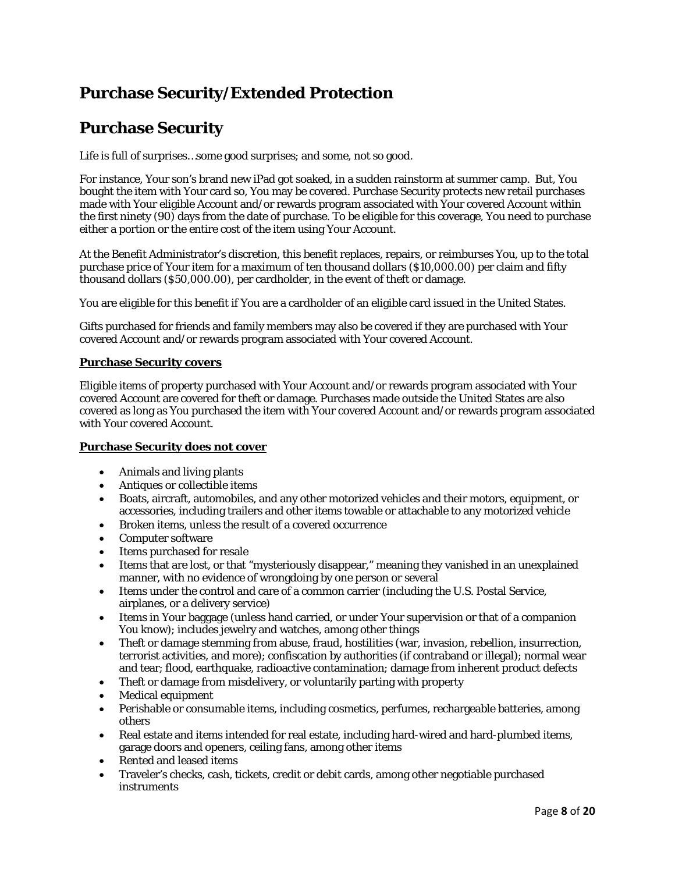# **Purchase Security/Extended Protection**

# **Purchase Security**

Life is full of surprises…some good surprises; and some, not so good.

For instance, Your son's brand new iPad got soaked, in a sudden rainstorm at summer camp. But, You bought the item with Your card so, You may be covered. Purchase Security protects new retail purchases made with Your eligible Account and/or rewards program associated with Your covered Account within the first ninety (90) days from the date of purchase. To be eligible for this coverage, You need to purchase either a portion or the entire cost of the item using Your Account.

At the Benefit Administrator's discretion, this benefit replaces, repairs, or reimburses You, up to the total purchase price of Your item for a maximum of ten thousand dollars (\$10,000.00) per claim and fifty thousand dollars (\$50,000.00), per cardholder, in the event of theft or damage.

You are eligible for this benefit if You are a cardholder of an eligible card issued in the United States.

Gifts purchased for friends and family members may also be covered if they are purchased with Your covered Account and/or rewards program associated with Your covered Account.

## **Purchase Security covers**

Eligible items of property purchased with Your Account and/or rewards program associated with Your covered Account are covered for theft or damage. Purchases made outside the United States are also covered as long as You purchased the item with Your covered Account and/or rewards program associated with Your covered Account.

## **Purchase Security does** *not* **cover**

- Animals and living plants
- Antiques or collectible items
- Boats, aircraft, automobiles, and any other motorized vehicles and their motors, equipment, or accessories, including trailers and other items towable or attachable to any motorized vehicle
- Broken items, unless the result of a covered occurrence
- Computer software
- Items purchased for resale
- Items that are lost, or that "mysteriously disappear," meaning they vanished in an unexplained manner, with no evidence of wrongdoing by one person or several
- Items under the control and care of a common carrier (including the U.S. Postal Service, airplanes, or a delivery service)
- Items in Your baggage (unless hand carried, or under Your supervision or that of a companion You know); includes jewelry and watches, among other things
- Theft or damage stemming from abuse, fraud, hostilities (war, invasion, rebellion, insurrection, terrorist activities, and more); confiscation by authorities (if contraband or illegal); normal wear and tear; flood, earthquake, radioactive contamination; damage from inherent product defects
- Theft or damage from misdelivery, or voluntarily parting with property
- Medical equipment
- Perishable or consumable items, including cosmetics, perfumes, rechargeable batteries, among others
- Real estate and items intended for real estate, including hard-wired and hard-plumbed items, garage doors and openers, ceiling fans, among other items
- Rented and leased items
- Traveler's checks, cash, tickets, credit or debit cards, among other negotiable purchased instruments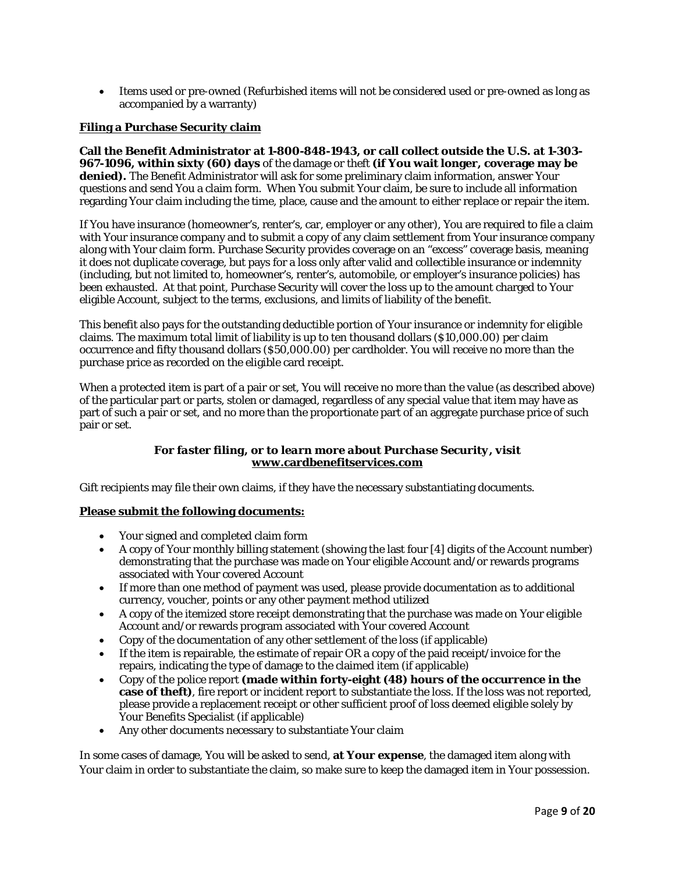• Items used or pre-owned (Refurbished items will not be considered used or pre-owned as long as accompanied by a warranty)

## **Filing a Purchase Security claim**

**Call the Benefit Administrator at 1-800-848-1943, or call collect outside the U.S. at 1-303- 967-1096, within sixty (60) days** of the damage or theft **(if You wait longer, coverage may be denied).** The Benefit Administrator will ask for some preliminary claim information, answer Your questions and send You a claim form. When You submit Your claim, be sure to include all information regarding Your claim including the time, place, cause and the amount to either replace or repair the item.

If You have insurance (homeowner's, renter's, car, employer or any other), You are required to file a claim with Your insurance company and to submit a copy of any claim settlement from Your insurance company along with Your claim form. Purchase Security provides coverage on an "excess" coverage basis, meaning it does not duplicate coverage, but pays for a loss only after valid and collectible insurance or indemnity (including, but not limited to, homeowner's, renter's, automobile, or employer's insurance policies) has been exhausted. At that point, Purchase Security will cover the loss up to the amount charged to Your eligible Account, subject to the terms, exclusions, and limits of liability of the benefit.

This benefit also pays for the outstanding deductible portion of Your insurance or indemnity for eligible claims. The maximum total limit of liability is up to ten thousand dollars (\$10,000.00) per claim occurrence and fifty thousand dollars (\$50,000.00) per cardholder. You will receive no more than the purchase price as recorded on the eligible card receipt.

When a protected item is part of a pair or set, You will receive no more than the value (as described above) of the particular part or parts, stolen or damaged, regardless of any special value that item may have as part of such a pair or set, and no more than the proportionate part of an aggregate purchase price of such pair or set.

## *For faster filing, or to learn more about Purchase Security, visit* **[www.cardbenefitservices.com](http://www.visa.com/eclaims)**

Gift recipients may file their own claims, if they have the necessary substantiating documents.

## **Please submit the following documents:**

- Your signed and completed claim form
- A copy of Your monthly billing statement (showing the last four [4] digits of the Account number) demonstrating that the purchase was made on Your eligible Account and/or rewards programs associated with Your covered Account
- If more than one method of payment was used, please provide documentation as to additional currency, voucher, points or any other payment method utilized
- A copy of the itemized store receipt demonstrating that the purchase was made on Your eligible Account and/or rewards program associated with Your covered Account
- Copy of the documentation of any other settlement of the loss (if applicable)
- If the item is repairable, the estimate of repair OR a copy of the paid receipt/invoice for the repairs, indicating the type of damage to the claimed item (if applicable)
- Copy of the police report **(made within forty-eight (48) hours of the occurrence in the case of theft)**, fire report or incident report to substantiate the loss. If the loss was not reported, please provide a replacement receipt or other sufficient proof of loss deemed eligible solely by Your Benefits Specialist (if applicable)
- Any other documents necessary to substantiate Your claim

In some cases of damage, You will be asked to send, **at Your expense**, the damaged item along with Your claim in order to substantiate the claim, so make sure to keep the damaged item in Your possession.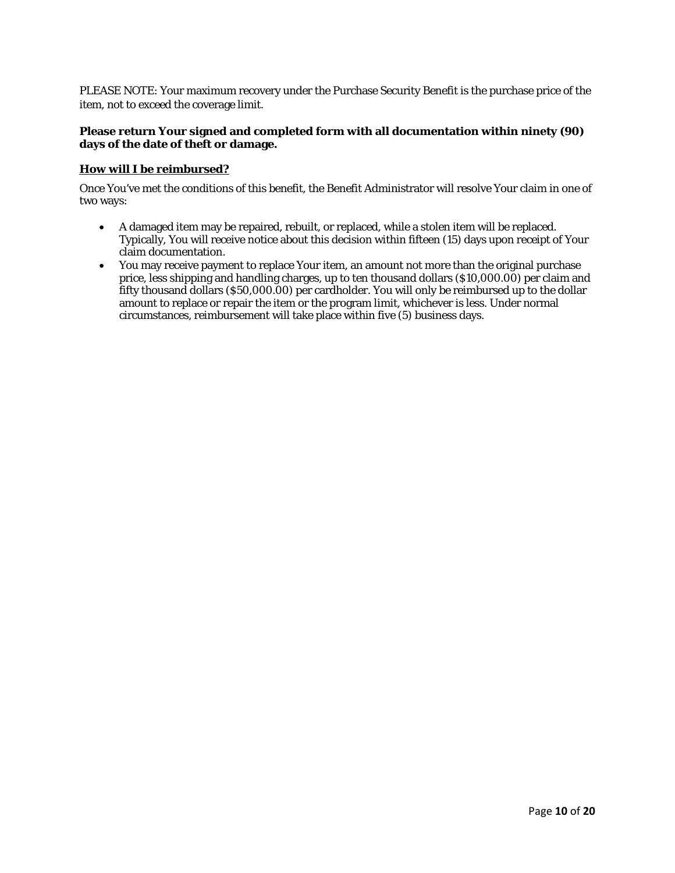PLEASE NOTE: Your maximum recovery under the Purchase Security Benefit is the purchase price of the item, not to exceed the coverage limit.

## **Please return Your signed and completed form with all documentation within ninety (90) days of the date of theft or damage.**

## **How will I be reimbursed?**

Once You've met the conditions of this benefit, the Benefit Administrator will resolve Your claim in one of two ways:

- A damaged item may be repaired, rebuilt, or replaced, while a stolen item will be replaced. Typically, You will receive notice about this decision within fifteen (15) days upon receipt of Your claim documentation.
- You may receive payment to replace Your item, an amount not more than the original purchase price, less shipping and handling charges, up to ten thousand dollars (\$10,000.00) per claim and fifty thousand dollars (\$50,000.00) per cardholder. You will only be reimbursed up to the dollar amount to replace or repair the item or the program limit, whichever is less. Under normal circumstances, reimbursement will take place within five (5) business days.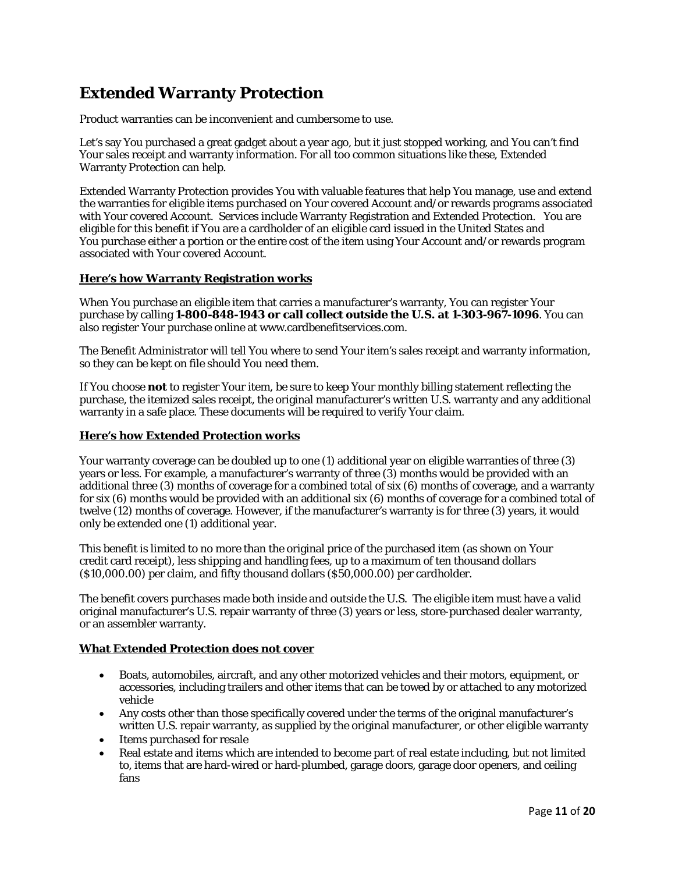# **Extended Warranty Protection**

Product warranties can be inconvenient and cumbersome to use.

Let's say You purchased a great gadget about a year ago, but it just stopped working, and You can't find Your sales receipt and warranty information. For all too common situations like these, Extended Warranty Protection can help.

Extended Warranty Protection provides You with valuable features that help You manage, use and extend the warranties for eligible items purchased on Your covered Account and/or rewards programs associated with Your covered Account. Services include Warranty Registration and Extended Protection. You are eligible for this benefit if You are a cardholder of an eligible card issued in the United States and You purchase either a portion or the entire cost of the item using Your Account and/or rewards program associated with Your covered Account.

## **Here's how Warranty Registration works**

When You purchase an eligible item that carries a manufacturer's warranty, You can register Your purchase by calling **1-800-848-1943 or call collect outside the U.S. at 1-303-967-1096**. You can also register Your purchase online at www.cardbenefitservices.com.

The Benefit Administrator will tell You where to send Your item's sales receipt and warranty information, so they can be kept on file should You need them.

If You choose *not* to register Your item, be sure to keep Your monthly billing statement reflecting the purchase, the itemized sales receipt, the original manufacturer's written U.S. warranty and any additional warranty in a safe place. These documents will be required to verify Your claim.

## **Here's how Extended Protection works**

Your warranty coverage can be doubled up to one (1) additional year on eligible warranties of three (3) years or less. For example, a manufacturer's warranty of three (3) months would be provided with an additional three (3) months of coverage for a combined total of six (6) months of coverage, and a warranty for six (6) months would be provided with an additional six (6) months of coverage for a combined total of twelve (12) months of coverage. However, if the manufacturer's warranty is for three (3) years, it would only be extended one (1) additional year.

This benefit is limited to no more than the original price of the purchased item (as shown on Your credit card receipt), less shipping and handling fees, up to a maximum of ten thousand dollars (\$10,000.00) per claim, and fifty thousand dollars (\$50,000.00) per cardholder.

The benefit covers purchases made both inside and outside the U.S. The eligible item must have a valid original manufacturer's U.S. repair warranty of three (3) years or less, store-purchased dealer warranty, or an assembler warranty.

## **What Extended Protection does** *not* **cover**

- Boats, automobiles, aircraft, and any other motorized vehicles and their motors, equipment, or accessories, including trailers and other items that can be towed by or attached to any motorized vehicle
- Any costs other than those specifically covered under the terms of the original manufacturer's written U.S. repair warranty, as supplied by the original manufacturer, or other eligible warranty
- Items purchased for resale
- Real estate and items which are intended to become part of real estate including, but not limited to, items that are hard-wired or hard-plumbed, garage doors, garage door openers, and ceiling fans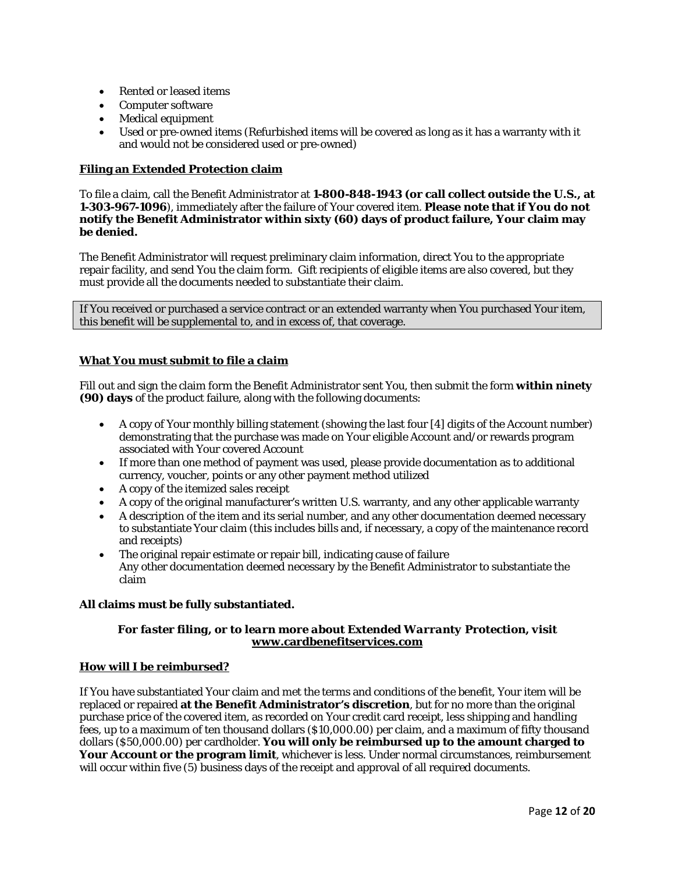- Rented or leased items
- Computer software
- Medical equipment
- Used or pre-owned items (Refurbished items will be covered as long as it has a warranty with it and would not be considered used or pre-owned)

## **Filing an Extended Protection claim**

To file a claim, call the Benefit Administrator at **1-800-848-1943 (or call collect outside the U.S., at 1-303-967-1096**), immediately after the failure of Your covered item. **Please note that if You do not notify the Benefit Administrator within sixty (60) days of product failure, Your claim may be denied.** 

The Benefit Administrator will request preliminary claim information, direct You to the appropriate repair facility, and send You the claim form. Gift recipients of eligible items are also covered, but they must provide all the documents needed to substantiate their claim.

If You received or purchased a service contract or an extended warranty when You purchased Your item, this benefit will be supplemental to, and in excess of, that coverage.

## **What You must submit to file a claim**

Fill out and sign the claim form the Benefit Administrator sent You, then submit the form **within ninety (90) days** of the product failure, along with the following documents:

- A copy of Your monthly billing statement (showing the last four [4] digits of the Account number) demonstrating that the purchase was made on Your eligible Account and/or rewards program associated with Your covered Account
- If more than one method of payment was used, please provide documentation as to additional currency, voucher, points or any other payment method utilized
- A copy of the itemized sales receipt
- A copy of the original manufacturer's written U.S. warranty, and any other applicable warranty
- A description of the item and its serial number, and any other documentation deemed necessary to substantiate Your claim (this includes bills and, if necessary, a copy of the maintenance record and receipts)
- The original repair estimate or repair bill, indicating cause of failure Any other documentation deemed necessary by the Benefit Administrator to substantiate the claim

## **All claims must be fully substantiated.**

## *For faster filing, or to learn more about Extended Warranty Protection, visit* **[www.cardbenefitservices.com](http://www.cardbenefitservices.com/)**

## **How will I be reimbursed?**

If You have substantiated Your claim and met the terms and conditions of the benefit, Your item will be replaced or repaired **at the Benefit Administrator's discretion**, but for no more than the original purchase price of the covered item, as recorded on Your credit card receipt, less shipping and handling fees, up to a maximum of ten thousand dollars (\$10,000.00) per claim, and a maximum of fifty thousand dollars (\$50,000.00) per cardholder. **You will only be reimbursed up to the amount charged to Your Account or the program limit**, whichever is less. Under normal circumstances, reimbursement will occur within five (5) business days of the receipt and approval of all required documents.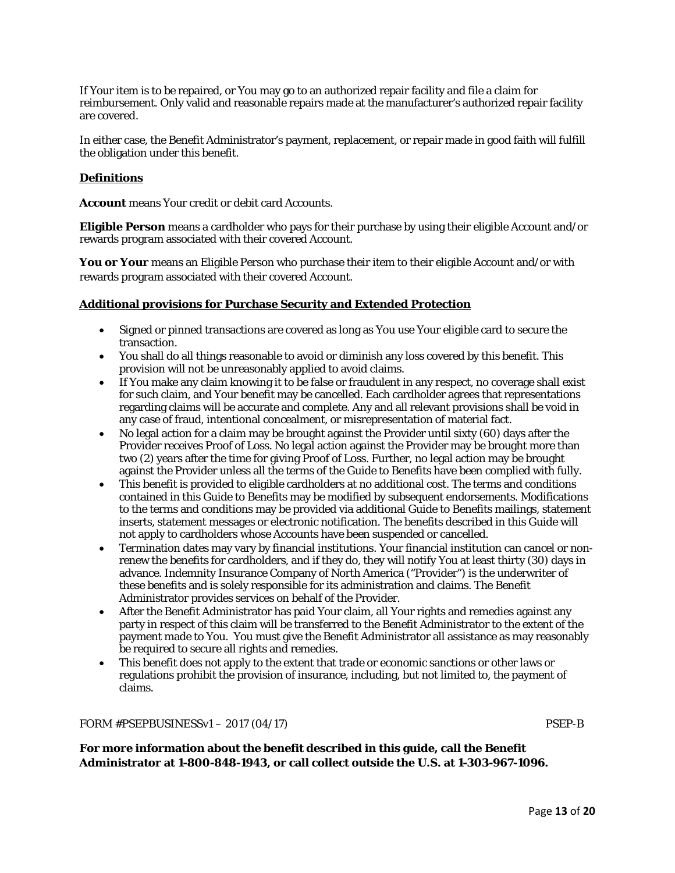If Your item is to be repaired, or You may go to an authorized repair facility and file a claim for reimbursement. Only valid and reasonable repairs made at the manufacturer's authorized repair facility are covered.

In either case, the Benefit Administrator's payment, replacement, or repair made in good faith will fulfill the obligation under this benefit.

## **Definitions**

**Account** means Your credit or debit card Accounts.

**Eligible Person** means a cardholder who pays for their purchase by using their eligible Account and/or rewards program associated with their covered Account.

**You or Your** means an Eligible Person who purchase their item to their eligible Account and/or with rewards program associated with their covered Account.

#### **Additional provisions for Purchase Security and Extended Protection**

- Signed or pinned transactions are covered as long as You use Your eligible card to secure the transaction.
- You shall do all things reasonable to avoid or diminish any loss covered by this benefit. This provision will not be unreasonably applied to avoid claims.
- If You make any claim knowing it to be false or fraudulent in any respect, no coverage shall exist for such claim, and Your benefit may be cancelled. Each cardholder agrees that representations regarding claims will be accurate and complete. Any and all relevant provisions shall be void in any case of fraud, intentional concealment, or misrepresentation of material fact.
- No legal action for a claim may be brought against the Provider until sixty (60) days after the Provider receives Proof of Loss. No legal action against the Provider may be brought more than two (2) years after the time for giving Proof of Loss. Further, no legal action may be brought against the Provider unless all the terms of the Guide to Benefits have been complied with fully.
- This benefit is provided to eligible cardholders at no additional cost. The terms and conditions contained in this Guide to Benefits may be modified by subsequent endorsements. Modifications to the terms and conditions may be provided via additional Guide to Benefits mailings, statement inserts, statement messages or electronic notification. The benefits described in this Guide will not apply to cardholders whose Accounts have been suspended or cancelled.
- Termination dates may vary by financial institutions. Your financial institution can cancel or nonrenew the benefits for cardholders, and if they do, they will notify You at least thirty (30) days in advance. Indemnity Insurance Company of North America ("Provider") is the underwriter of these benefits and is solely responsible for its administration and claims. The Benefit Administrator provides services on behalf of the Provider.
- After the Benefit Administrator has paid Your claim, all Your rights and remedies against any party in respect of this claim will be transferred to the Benefit Administrator to the extent of the payment made to You. You must give the Benefit Administrator all assistance as may reasonably be required to secure all rights and remedies.
- This benefit does not apply to the extent that trade or economic sanctions or other laws or regulations prohibit the provision of insurance, including, but not limited to, the payment of claims.

FORM #PSEPBUSINESSv1 – 2017 (04/17) PSEP-B

**For more information about the benefit described in this guide, call the Benefit Administrator at 1-800-848-1943, or call collect outside the U.S. at 1-303-967-1096.**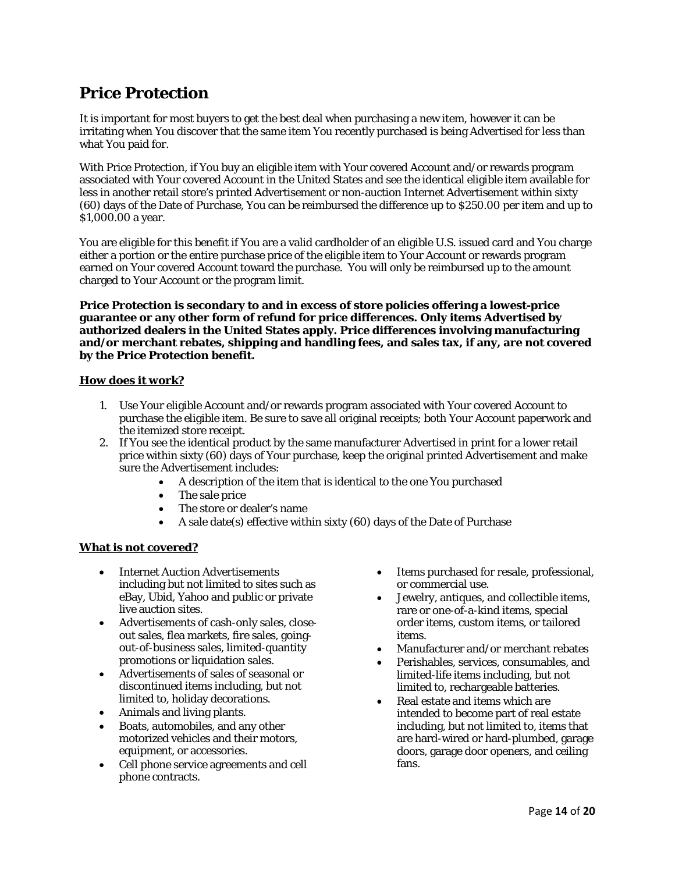# **Price Protection**

It is important for most buyers to get the best deal when purchasing a new item, however it can be irritating when You discover that the same item You recently purchased is being Advertised for less than what You paid for.

With Price Protection, if You buy an eligible item with Your covered Account and/or rewards program associated with Your covered Account in the United States and see the identical eligible item available for less in another retail store's printed Advertisement or non-auction Internet Advertisement within sixty (60) days of the Date of Purchase, You can be reimbursed the difference up to \$250.00 per item and up to \$1,000.00 a year.

You are eligible for this benefit if You are a valid cardholder of an eligible U.S. issued card and You charge either a portion or the entire purchase price of the eligible item to Your Account or rewards program earned on Your covered Account toward the purchase. You will only be reimbursed up to the amount charged to Your Account or the program limit.

**Price Protection is secondary to and in excess of store policies offering a lowest-price guarantee or any other form of refund for price differences. Only items Advertised by authorized dealers in the United States apply. Price differences involving manufacturing and/or merchant rebates, shipping and handling fees, and sales tax, if any, are not covered by the Price Protection benefit.** 

## **How does it work?**

- 1. Use Your eligible Account and/or rewards program associated with Your covered Account to purchase the eligible item. Be sure to save all original receipts; both Your Account paperwork and the itemized store receipt.
- 2. If You see the identical product by the same manufacturer Advertised in print for a lower retail price within sixty (60) days of Your purchase, keep the original printed Advertisement and make sure the Advertisement includes:
	- A description of the item that is identical to the one You purchased
	- The sale price
	- The store or dealer's name
	- A sale date(s) effective within sixty (60) days of the Date of Purchase

## **What is** *not* **covered?**

- Internet Auction Advertisements including but not limited to sites such as eBay, Ubid, Yahoo and public or private live auction sites.
- Advertisements of cash-only sales, closeout sales, flea markets, fire sales, goingout-of-business sales, limited-quantity promotions or liquidation sales.
- Advertisements of sales of seasonal or discontinued items including, but not limited to, holiday decorations.
- Animals and living plants.
- Boats, automobiles, and any other motorized vehicles and their motors, equipment, or accessories.
- Cell phone service agreements and cell phone contracts.
- Items purchased for resale, professional, or commercial use.
- Jewelry, antiques, and collectible items, rare or one-of-a-kind items, special order items, custom items, or tailored items.
- Manufacturer and/or merchant rebates
- Perishables, services, consumables, and limited-life items including, but not limited to, rechargeable batteries.
- Real estate and items which are intended to become part of real estate including, but not limited to, items that are hard-wired or hard-plumbed, garage doors, garage door openers, and ceiling fans.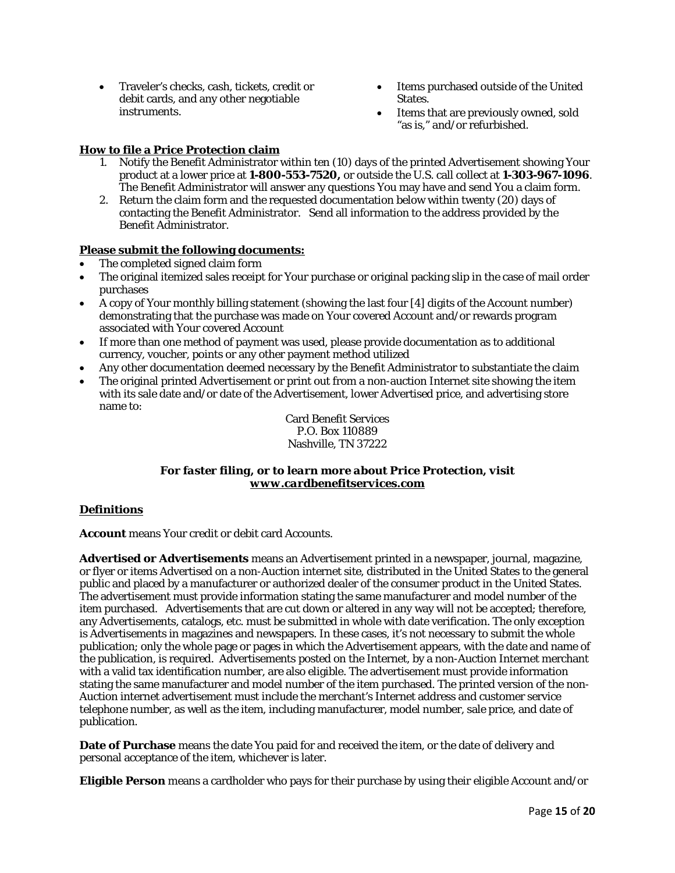- Traveler's checks, cash, tickets, credit or debit cards, and any other negotiable instruments.
- Items purchased outside of the United States.
- Items that are previously owned, sold "as is," and/or refurbished.

## **How to file a Price Protection claim**

- 1. Notify the Benefit Administrator within ten (10) days of the printed Advertisement showing Your product at a lower price at **1-800-553-7520,** or outside the U.S. call collect at **1-303-967-1096**. The Benefit Administrator will answer any questions You may have and send You a claim form.
- 2. Return the claim form and the requested documentation below within twenty (20) days of contacting the Benefit Administrator. Send all information to the address provided by the Benefit Administrator.

## **Please submit the following documents:**

- The completed signed claim form
- The original itemized sales receipt for Your purchase or original packing slip in the case of mail order purchases
- A copy of Your monthly billing statement (showing the last four [4] digits of the Account number) demonstrating that the purchase was made on Your covered Account and/or rewards program associated with Your covered Account
- If more than one method of payment was used, please provide documentation as to additional currency, voucher, points or any other payment method utilized
- Any other documentation deemed necessary by the Benefit Administrator to substantiate the claim
- The original printed Advertisement or print out from a non-auction Internet site showing the item with its sale date and/or date of the Advertisement, lower Advertised price, and advertising store name to:

Card Benefit Services P.O. Box 110889 Nashville, TN 37222

## *For faster filing, or to learn more about Price Protection, visit [www.cardbenefitservices.com](http://www.cardbenefitservices.com/)*

## **Definitions**

**Account** means Your credit or debit card Accounts.

**Advertised or Advertisements** means an Advertisement printed in a newspaper, journal, magazine, or flyer or items Advertised on a non-Auction internet site, distributed in the United States to the general public and placed by a manufacturer or authorized dealer of the consumer product in the United States. The advertisement must provide information stating the same manufacturer and model number of the item purchased. Advertisements that are cut down or altered in any way will not be accepted; therefore, any Advertisements, catalogs, etc. must be submitted in whole with date verification. The only exception is Advertisements in magazines and newspapers. In these cases, it's not necessary to submit the whole publication; only the whole page or pages in which the Advertisement appears, with the date and name of the publication, is required. Advertisements posted on the Internet, by a non-Auction Internet merchant with a valid tax identification number, are also eligible. The advertisement must provide information stating the same manufacturer and model number of the item purchased. The printed version of the non-Auction internet advertisement must include the merchant's Internet address and customer service telephone number, as well as the item, including manufacturer, model number, sale price, and date of publication.

**Date of Purchase** means the date You paid for and received the item, or the date of delivery and personal acceptance of the item, whichever is later.

**Eligible Person** means a cardholder who pays for their purchase by using their eligible Account and/or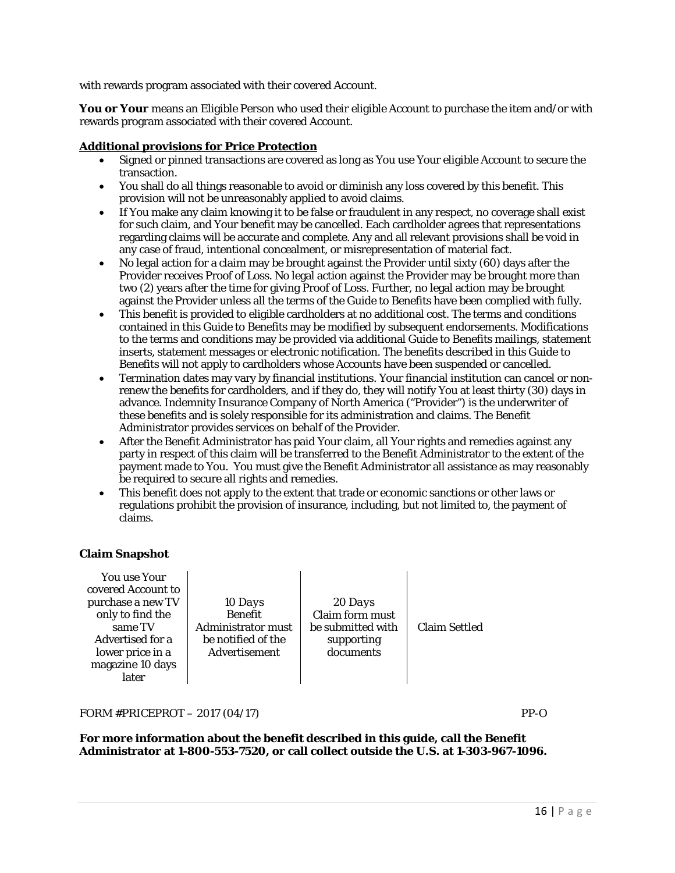with rewards program associated with their covered Account.

You or Your means an Eligible Person who used their eligible Account to purchase the item and/or with rewards program associated with their covered Account.

## **Additional provisions for Price Protection**

- Signed or pinned transactions are covered as long as You use Your eligible Account to secure the transaction.
- You shall do all things reasonable to avoid or diminish any loss covered by this benefit. This provision will not be unreasonably applied to avoid claims.
- If You make any claim knowing it to be false or fraudulent in any respect, no coverage shall exist for such claim, and Your benefit may be cancelled. Each cardholder agrees that representations regarding claims will be accurate and complete. Any and all relevant provisions shall be void in any case of fraud, intentional concealment, or misrepresentation of material fact.
- No legal action for a claim may be brought against the Provider until sixty (60) days after the Provider receives Proof of Loss. No legal action against the Provider may be brought more than two (2) years after the time for giving Proof of Loss. Further, no legal action may be brought against the Provider unless all the terms of the Guide to Benefits have been complied with fully.
- This benefit is provided to eligible cardholders at no additional cost. The terms and conditions contained in this Guide to Benefits may be modified by subsequent endorsements. Modifications to the terms and conditions may be provided via additional Guide to Benefits mailings, statement inserts, statement messages or electronic notification. The benefits described in this Guide to Benefits will not apply to cardholders whose Accounts have been suspended or cancelled.
- Termination dates may vary by financial institutions. Your financial institution can cancel or nonrenew the benefits for cardholders, and if they do, they will notify You at least thirty (30) days in advance. Indemnity Insurance Company of North America ("Provider") is the underwriter of these benefits and is solely responsible for its administration and claims. The Benefit Administrator provides services on behalf of the Provider.
- After the Benefit Administrator has paid Your claim, all Your rights and remedies against any party in respect of this claim will be transferred to the Benefit Administrator to the extent of the payment made to You. You must give the Benefit Administrator all assistance as may reasonably be required to secure all rights and remedies.
- This benefit does not apply to the extent that trade or economic sanctions or other laws or regulations prohibit the provision of insurance, including, but not limited to, the payment of claims.

## **Claim Snapshot**

| <b>You use Your</b><br>covered Account to<br>purchase a new TV<br>only to find the<br>same TV<br>Advertised for a<br>lower price in a<br>magazine 10 days<br>later | 10 Days<br><b>Benefit</b><br><b>Administrator must</b><br>be notified of the<br>Advertisement | 20 Days<br>Claim form must<br>be submitted with<br>supporting<br>documents | <b>Claim Settled</b> |
|--------------------------------------------------------------------------------------------------------------------------------------------------------------------|-----------------------------------------------------------------------------------------------|----------------------------------------------------------------------------|----------------------|
|--------------------------------------------------------------------------------------------------------------------------------------------------------------------|-----------------------------------------------------------------------------------------------|----------------------------------------------------------------------------|----------------------|

FORM #PRICEPROT – 2017 (04/17) PP-O

**For more information about the benefit described in this guide, call the Benefit Administrator at 1-800-553-7520, or call collect outside the U.S. at 1-303-967-1096.**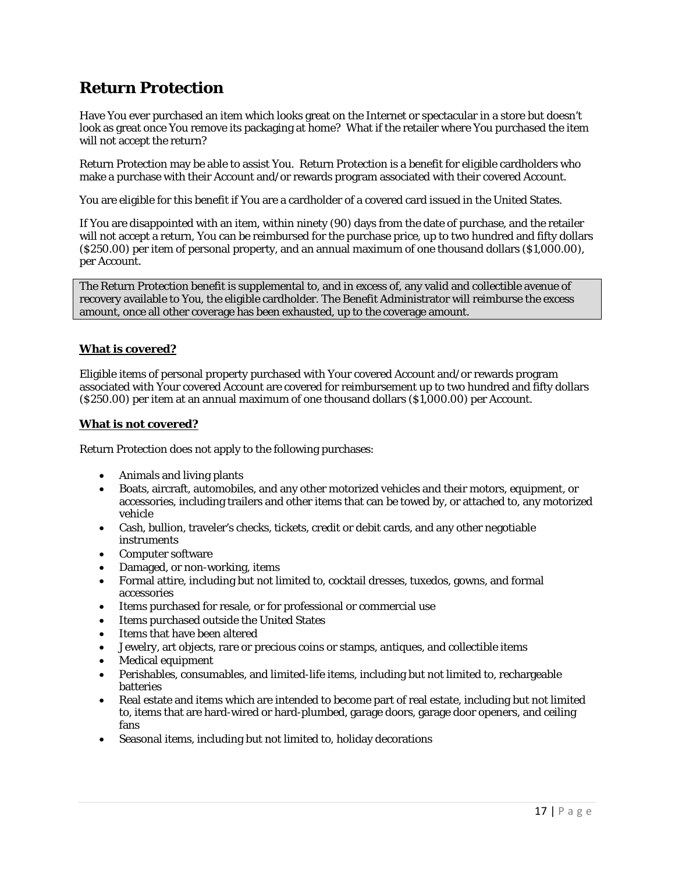# **Return Protection**

Have You ever purchased an item which looks great on the Internet or spectacular in a store but doesn't look as great once You remove its packaging at home? What if the retailer where You purchased the item will not accept the return?

Return Protection may be able to assist You. Return Protection is a benefit for eligible cardholders who make a purchase with their Account and/or rewards program associated with their covered Account.

You are eligible for this benefit if You are a cardholder of a covered card issued in the United States.

If You are disappointed with an item, within ninety (90) days from the date of purchase, and the retailer will not accept a return, You can be reimbursed for the purchase price, up to two hundred and fifty dollars (\$250.00) per item of personal property, and an annual maximum of one thousand dollars (\$1,000.00), per Account.

The Return Protection benefit is supplemental to, and in excess of, any valid and collectible avenue of recovery available to You, the eligible cardholder. The Benefit Administrator will reimburse the excess amount, once all other coverage has been exhausted, up to the coverage amount.

## **What** *is* **covered?**

Eligible items of personal property purchased with Your covered Account and/or rewards program associated with Your covered Account are covered for reimbursement up to two hundred and fifty dollars (\$250.00) per item at an annual maximum of one thousand dollars (\$1,000.00) per Account.

## **What** *is not* **covered?**

Return Protection does *not* apply to the following purchases:

- Animals and living plants
- Boats, aircraft, automobiles, and any other motorized vehicles and their motors, equipment, or accessories, including trailers and other items that can be towed by, or attached to, any motorized vehicle
- Cash, bullion, traveler's checks, tickets, credit or debit cards, and any other negotiable instruments
- Computer software
- Damaged, or non-working, items
- Formal attire, including but not limited to, cocktail dresses, tuxedos, gowns, and formal accessories
- Items purchased for resale, or for professional or commercial use
- Items purchased outside the United States
- Items that have been altered
- Jewelry, art objects, rare or precious coins or stamps, antiques, and collectible items
- Medical equipment
- Perishables, consumables, and limited-life items, including but not limited to, rechargeable batteries
- Real estate and items which are intended to become part of real estate, including but not limited to, items that are hard-wired or hard-plumbed, garage doors, garage door openers, and ceiling fans
- Seasonal items, including but not limited to, holiday decorations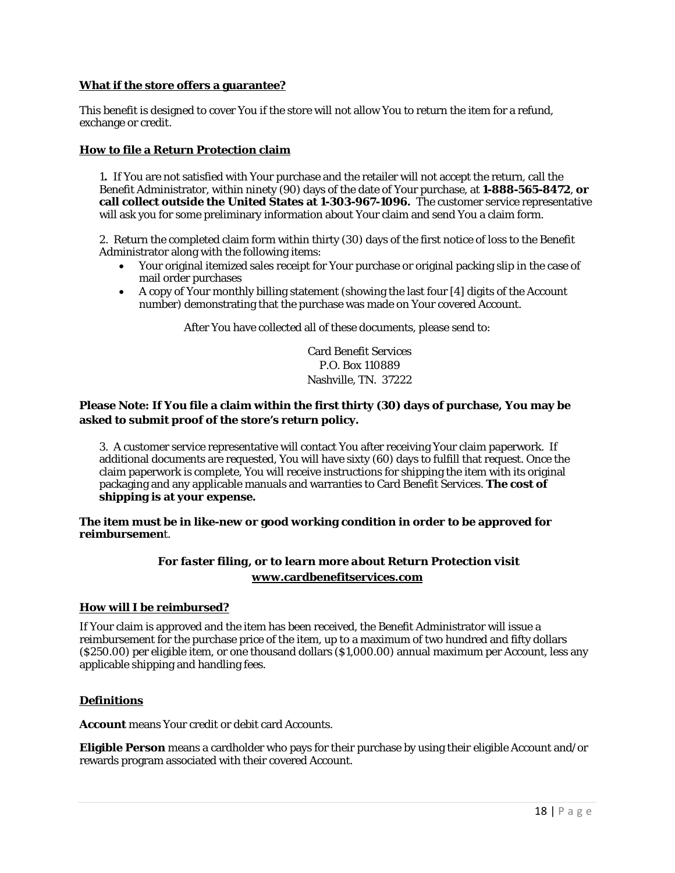## **What if the store offers a guarantee?**

This benefit is designed to cover You if the store will not allow You to return the item for a refund, exchange or credit.

## **How to file a Return Protection claim**

1**.** If You are not satisfied with Your purchase and the retailer will not accept the return, call the Benefit Administrator, within ninety (90) days of the date of Your purchase, at **1-888-565-8472**, **or call collect outside the United States at 1-303-967-1096.** The customer service representative will ask you for some preliminary information about Your claim and send You a claim form.

2. Return the completed claim form within thirty (30) days of the first notice of loss to the Benefit Administrator along with the following items:

- Your original itemized sales receipt for Your purchase or original packing slip in the case of mail order purchases
- A copy of Your monthly billing statement (showing the last four [4] digits of the Account number) demonstrating that the purchase was made on Your covered Account.

After You have collected all of these documents, please send to:

Card Benefit Services P.O. Box 110889 Nashville, TN. 37222

## **Please Note: If You file a claim within the first thirty (30) days of purchase, You may be asked to submit proof of the store's return policy.**

3. A customer service representative will contact You after receiving Your claim paperwork. If additional documents are requested, You will have sixty (60) days to fulfill that request. Once the claim paperwork is complete, You will receive instructions for shipping the item with its original packaging and any applicable manuals and warranties to Card Benefit Services. **The cost of shipping is at your expense.** 

## **The item must be in like-new or good working condition in order to be approved for reimbursemen**t.

## *For faster filing, or to learn more about Return Protection visit* **[www.cardbenefitservices.com](http://www.cardbenefitservices.com/)**

## **How will I be reimbursed?**

If Your claim is approved and the item has been received, the Benefit Administrator will issue a reimbursement for the purchase price of the item, up to a maximum of two hundred and fifty dollars (\$250.00) per eligible item, or one thousand dollars (\$1,000.00) annual maximum per Account, less any applicable shipping and handling fees.

## **Definitions**

**Account** means Your credit or debit card Accounts.

**Eligible Person** means a cardholder who pays for their purchase by using their eligible Account and/or rewards program associated with their covered Account.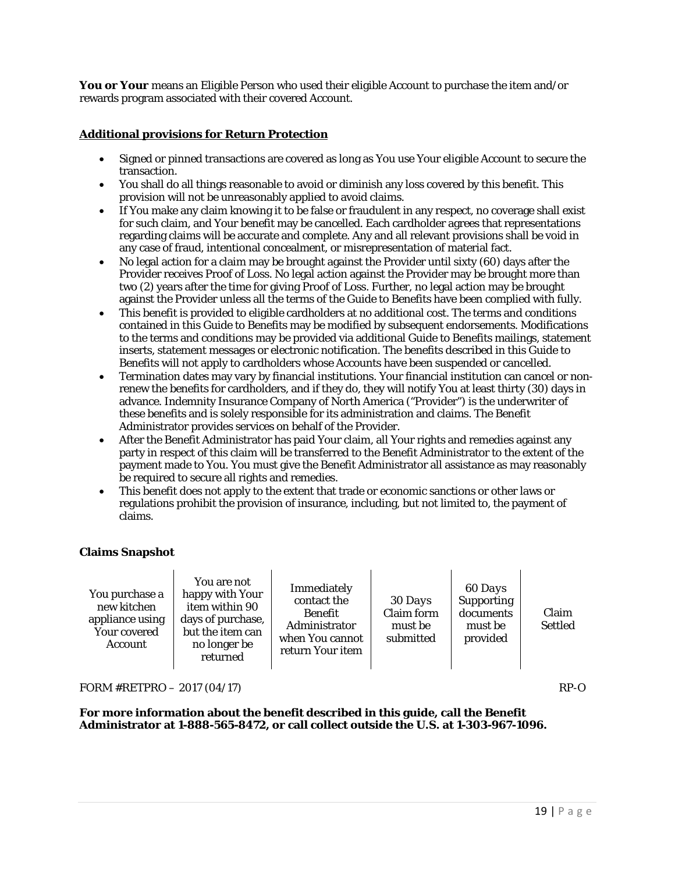**You or Your** means an Eligible Person who used their eligible Account to purchase the item and/or rewards program associated with their covered Account.

## **Additional provisions for Return Protection**

- Signed or pinned transactions are covered as long as You use Your eligible Account to secure the transaction.
- You shall do all things reasonable to avoid or diminish any loss covered by this benefit. This provision will not be unreasonably applied to avoid claims.
- If You make any claim knowing it to be false or fraudulent in any respect, no coverage shall exist for such claim, and Your benefit may be cancelled. Each cardholder agrees that representations regarding claims will be accurate and complete. Any and all relevant provisions shall be void in any case of fraud, intentional concealment, or misrepresentation of material fact.
- No legal action for a claim may be brought against the Provider until sixty (60) days after the Provider receives Proof of Loss. No legal action against the Provider may be brought more than two (2) years after the time for giving Proof of Loss. Further, no legal action may be brought against the Provider unless all the terms of the Guide to Benefits have been complied with fully.
- This benefit is provided to eligible cardholders at no additional cost. The terms and conditions contained in this Guide to Benefits may be modified by subsequent endorsements. Modifications to the terms and conditions may be provided via additional Guide to Benefits mailings, statement inserts, statement messages or electronic notification. The benefits described in this Guide to Benefits will not apply to cardholders whose Accounts have been suspended or cancelled.
- Termination dates may vary by financial institutions. Your financial institution can cancel or nonrenew the benefits for cardholders, and if they do, they will notify You at least thirty (30) days in advance. Indemnity Insurance Company of North America ("Provider") is the underwriter of these benefits and is solely responsible for its administration and claims. The Benefit Administrator provides services on behalf of the Provider.
- After the Benefit Administrator has paid Your claim, all Your rights and remedies against any party in respect of this claim will be transferred to the Benefit Administrator to the extent of the payment made to You. You must give the Benefit Administrator all assistance as may reasonably be required to secure all rights and remedies.
- This benefit does not apply to the extent that trade or economic sanctions or other laws or regulations prohibit the provision of insurance, including, but not limited to, the payment of claims.

## **Claims Snapshot**

| You purchase a<br>new kitchen<br>appliance using<br><b>Your covered</b><br><b>Account</b> | You are not<br>happy with Your<br>item within 90<br>days of purchase,<br>but the item can<br>no longer be<br>returned | Immediately<br>contact the<br>Benefit<br>Administrator<br>when You cannot<br>return Your item | 30 Days<br>Claim form<br>must be<br>submitted | 60 Days<br><b>Supporting</b><br>documents<br>must be<br>provided | Claim<br>Settled |
|-------------------------------------------------------------------------------------------|-----------------------------------------------------------------------------------------------------------------------|-----------------------------------------------------------------------------------------------|-----------------------------------------------|------------------------------------------------------------------|------------------|
|-------------------------------------------------------------------------------------------|-----------------------------------------------------------------------------------------------------------------------|-----------------------------------------------------------------------------------------------|-----------------------------------------------|------------------------------------------------------------------|------------------|

FORM  $#RETPRO - 2017 (04/17)$  RP-O

**For more information about the benefit described in this guide, call the Benefit Administrator at 1-888-565-8472, or call collect outside the U.S. at 1-303-967-1096.**